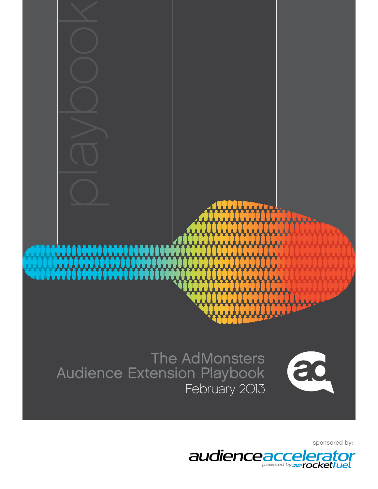

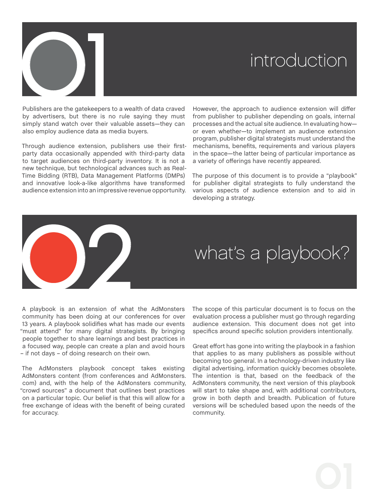

# introduction

Publishers are the gatekeepers to a wealth of data craved by advertisers, but there is no rule saying they must simply stand watch over their valuable assets—they can also employ audience data as media buyers.

Through audience extension, publishers use their firstparty data occasionally appended with third-party data to target audiences on third-party inventory. It is not a new technique, but technological advances such as Real-Time Bidding (RTB), Data Management Platforms (DMPs) and innovative look-a-like algorithms have transformed audience extension into an impressive revenue opportunity.

However, the approach to audience extension will differ from publisher to publisher depending on goals, internal processes and the actual site audience. In evaluating how or even whether—to implement an audience extension program, publisher digital strategists must understand the mechanisms, benefits, requirements and various players in the space—the latter being of particular importance as a variety of offerings have recently appeared.

The purpose of this document is to provide a "playbook" for publisher digital strategists to fully understand the various aspects of audience extension and to aid in developing a strategy.

# what's a playbook?

A playbook is an extension of what the AdMonsters community has been doing at our conferences for over 13 years. A playbook solidifies what has made our events "must attend" for many digital strategists. By bringing people together to share learnings and best practices in a focused way, people can create a plan and avoid hours – if not days – of doing research on their own. 02

The AdMonsters playbook concept takes existing AdMonsters content (from conferences and AdMonsters. com) and, with the help of the AdMonsters community, "crowd sources" a document that outlines best practices on a particular topic. Our belief is that this will allow for a free exchange of ideas with the benefit of being curated for accuracy.

The scope of this particular document is to focus on the evaluation process a publisher must go through regarding audience extension. This document does not get into specifics around specific solution providers intentionally.

Great effort has gone into writing the playbook in a fashion that applies to as many publishers as possible without becoming too general. In a technology-driven industry like digital advertising, information quickly becomes obsolete. The intention is that, based on the feedback of the AdMonsters community, the next version of this playbook will start to take shape and, with additional contributors, grow in both depth and breadth. Publication of future versions will be scheduled based upon the needs of the community.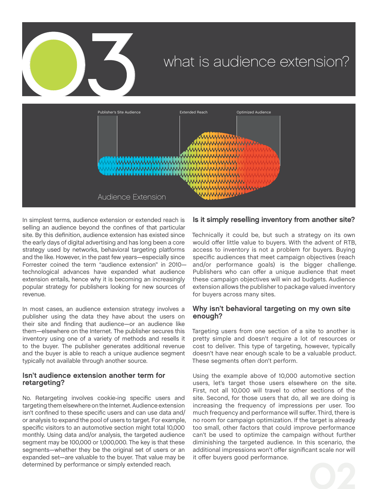

# what is audience extension?



In simplest terms, audience extension or extended reach is selling an audience beyond the confines of that particular site. By this definition, audience extension has existed since the early days of digital advertising and has long been a core strategy used by networks, behavioral targeting platforms and the like. However, in the past few years—especially since Forrester coined the term "audience extension" in 2010 technological advances have expanded what audience extension entails, hence why it is becoming an increasingly popular strategy for publishers looking for new sources of revenue.

In most cases, an audience extension strategy involves a publisher using the data they have about the users on their site and finding that audience—or an audience like them—elsewhere on the Internet. The publisher secures this inventory using one of a variety of methods and resells it to the buyer. The publisher generates additional revenue and the buyer is able to reach a unique audience segment typically not available through another source.

## Isn't audience extension another term for retargeting?

No. Retargeting involves cookie-ing specific users and targeting them elsewhere on the Internet. Audience extension isn't confined to these specific users and can use data and/ or analysis to expand the pool of users to target. For example, specific visitors to an automotive section might total 10,000 monthly. Using data and/or analysis, the targeted audience segment may be 100,000 or 1,000,000. The key is that these segments—whether they be the original set of users or an expanded set—are valuable to the buyer. That value may be determined by performance or simply extended reach.

# Is it simply reselling inventory from another site?

Technically it could be, but such a strategy on its own would offer little value to buyers. With the advent of RTB, access to inventory is not a problem for buyers. Buying specific audiences that meet campaign objectives (reach and/or performance goals) is the bigger challenge. Publishers who can offer a unique audience that meet these campaign objectives will win ad budgets. Audience extension allows the publisher to package valued inventory for buyers across many sites.

## Why isn't behavioral targeting on my own site enough?

Targeting users from one section of a site to another is pretty simple and doesn't require a lot of resources or cost to deliver. This type of targeting, however, typically doesn't have near enough scale to be a valuable product. These segments often don't perform.

Using the example above of 10,000 automotive section users, let's target those users elsewhere on the site. First, not all 10,000 will travel to other sections of the site. Second, for those users that do, all we are doing is increasing the frequency of impressions per user. Too much frequency and performance will suffer. Third, there is no room for campaign optimization. If the target is already too small, other factors that could improve performance can't be used to optimize the campaign without further diminishing the targeted audience. In this scenario, the additional impressions won't offer significant scale nor will it offer buyers good performance.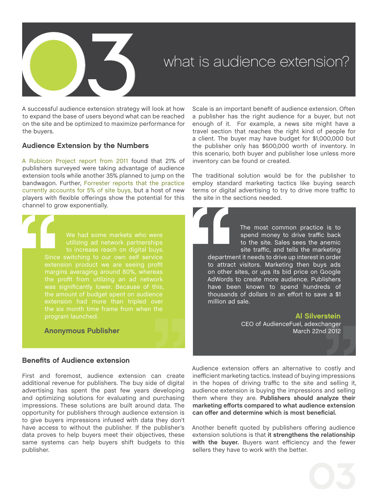

A successful audience extension strategy will look at how to expand the base of users beyond what can be reached on the site and be optimized to maximize performance for the buyers.

## Audience Extension by the Numbers

[A Rubicon Project report from 2011](http://www.slideshare.net/tessierv/rubicon-online-publishers-survey) found that 21% of publishers surveyed were taking advantage of audience extension tools while another 35% planned to jump on the bandwagon. Further, [Forrester reports that the practice](http://www.forrester.com/home%23/The%2BFuture%2BOf%2BDigital%2BMedia%2BBuying/quickscan/-/E-RES58354) [currently accounts for 5% of site buys,](http://www.forrester.com/home%23/The%2BFuture%2BOf%2BDigital%2BMedia%2BBuying/quickscan/-/E-RES58354) but a host of new players with flexible offerings show the potential for this channel to grow exponentially.

> We had some markets who were utilizing ad network partnerships to increase reach on digital buys. margins averaging around 80%, whereas the amount of budget spent on audience extension had more than tripled over program launched.

Anonymous Publisher

## Benefits of Audience extension

First and foremost, audience extension can create additional revenue for publishers. The buy side of digital advertising has spent the past few years developing and optimizing solutions for evaluating and purchasing impressions. These solutions are built around data. The opportunity for publishers through audience extension is to give buyers impressions infused with data they don't have access to without the publisher. If the publisher's data proves to help buyers meet their objectives, these same systems can help buyers shift budgets to this publisher.

Scale is an important benefit of audience extension. Often a publisher has the right audience for a buyer, but not enough of it. For example, a news site might have a travel section that reaches the right kind of people for a client. The buyer may have budget for \$1,000,000 but the publisher only has \$600,000 worth of inventory. In this scenario, both buyer and publisher lose unless more inventory can be found or created.

The traditional solution would be for the publisher to employ standard marketing tactics like buying search terms or digital advertising to try to drive more traffic to the site in the sections needed.

> The most common practice is to spend money to drive traffic back to the site. Sales sees the anemic site traffic, and tells the marketing

department it needs to drive up interest in order to attract visitors. Marketing then buys ads on other sites, or ups its bid price on Google AdWords to create more audience. Publishers have been known to spend hundreds of thousands of dollars in an effort to save a \$1 million ad sale.

> Al Silverstein [CEO of AudienceFuel, adexchanger](http://www.adexchanger.com/the-sell-sider/dont-dump-inventory/) [March 22nd 2012](http://www.adexchanger.com/the-sell-sider/dont-dump-inventory/)

Audience extension offers an alternative to costly and inefficient marketing tactics. Instead of buying impressions in the hopes of driving traffic to the site and selling it, audience extension is buying the impressions and selling them where they are. **Publishers should analyze their marketing efforts compared to what audience extension can offer and determine which is most beneficial.**

Another benefit quoted by publishers offering audience extension solutions is that **it strengthens the relationship with the buyer.** Buyers want efficiency and the fewer sellers they have to work with the better.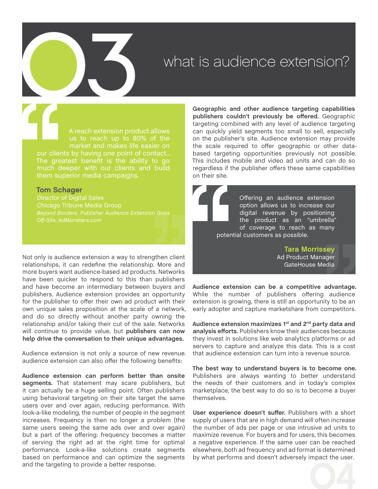# What is audience extension?

A reach extension product allows us to reach up to 80% of the market and makes life easier on The greatest benefit is the ability to go much deeper with our clients and build them superior media campaigns.

## Tom Schager

Director of Digital Sales Chicago Tribune Media Group *[Beyond Borders: Publisher Audience Extension Goes](http://www.admonsters.com/blog/publisher-audience-extension-part1)* 

Not only is audience extension a way to strengthen client relationships, it can redefine the relationship. More and more buyers want audience-based ad products. Networks have been quicker to respond to this than publishers and have become an intermediary between buyers and publishers. Audience extension provides an opportunity for the publisher to offer their own ad product with their own unique sales proposition at the scale of a network, and do so directly without another party owning the relationship and/or taking their cut of the sale. Networks will continue to provide value, but **publishers can now help drive the conversation to their unique advantages.**

Audience extension is not only a source of new revenue. audience extension can also offer the following benefits:

**Audience extension can perform better than onsite segments.** That statement may scare publishers, but it can actually be a huge selling point. Often publishers using behavioral targeting on their site target the same users over and over again, reducing performance. With look-a-like modeling, the number of people in the segment increases. Frequency is then no longer a problem (the same users seeing the same ads over and over again) but a part of the offering: frequency becomes a matter of serving the right ad at the right time for optimal performance. Look-a-like solutions create segments based on performance and can optimize the segments and the targeting to provide a better response.

**Geographic and other audience targeting capabilities publishers couldn't previously be offered.** Geographic targeting combined with any level of audience targeting can quickly yield segments too small to sell, especially on the publisher's site. Audience extension may provide the scale required to offer geographic or other databased targeting opportunities previously not possible. This includes mobile and video ad units and can do so regardless if the publisher offers these same capabilities on their site.

> Offering an audience extension option allows us to increase our digital revenue by positioning the product as an "umbrella" of coverage to reach as many potential customers as possible.

> > Tara Morrissey Ad Product Manager GateHouse Media

**Audience extension can be a competitive advantage.** While the number of publishers offering audience extension is growing, there is still an opportunity to be an early adopter and capture marketshare from competitors.

**Audience extension maximizes 1st and 2nd party data and analysis efforts.** Publishers know their audiences because they invest in solutions like web analytics platforms or ad servers to capture and analyze this data. This is a cost that audience extension can turn into a revenue source.

**The best way to understand buyers is to become one.**  Publishers are always wanting to better understand the needs of their customers and in today's complex marketplace, the best way to do so is to become a buyer themselves.

**User experience doesn't suffer.** Publishers with a short supply of users that are in high demand will often increase the number of ads per page or use intrusive ad units to maximize revenue. For buyers and for users, this becomes a negative experience. If the same user can be reached elsewhere, both ad frequency and ad format is determined by what performs and doesn't adversely impact the user.

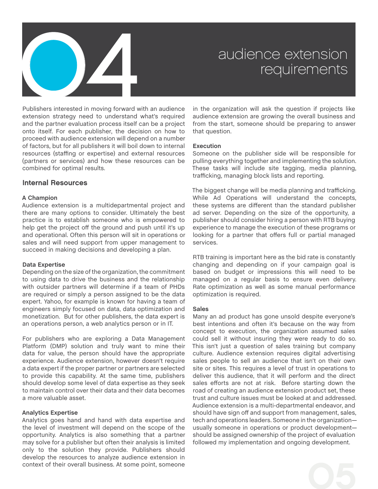

Publishers interested in moving forward with an audience extension strategy need to understand what's required and the partner evaluation process itself can be a project onto itself. For each publisher, the decision on how to proceed with audience extension will depend on a number of factors, but for all publishers it will boil down to internal resources (staffing or expertise) and external resources (partners or services) and how these resources can be combined for optimal results.

## Internal Resources

## **A Champion**

Audience extension is a multidepartmental project and there are many options to consider. Ultimately the best practice is to establish someone who is empowered to help get the project off the ground and push until it's up and operational. Often this person will sit in operations or sales and will need support from upper management to succeed in making decisions and developing a plan.

## **Data Expertise**

Depending on the size of the organization, the commitment to using data to drive the business and the relationship with outsider partners will determine if a team of PHDs are required or simply a person assigned to be the data expert. Yahoo, for example is known for having a team of engineers simply focused on data, data optimization and monetization. But for other publishers, the data expert is an operations person, a web analytics person or in IT.

For publishers who are exploring a Data Management Platform (DMP) solution and truly want to mine their data for value, the person should have the appropriate experience. Audience extension, however doesn't require a data expert if the proper partner or partners are selected to provide this capability. At the same time, publishers should develop some level of data expertise as they seek to maintain control over their data and their data becomes a more valuable asset.

## **Analytics Expertise**

Analytics goes hand and hand with data expertise and the level of investment will depend on the scope of the opportunity. Analytics is also something that a partner may solve for a publisher but often their analysis is limited only to the solution they provide. Publishers should develop the resources to analyze audience extension in context of their overall business. At some point, someone

in the organization will ask the question if projects like audience extension are growing the overall business and from the start, someone should be preparing to answer that question.

## **Execution**

Someone on the publisher side will be responsible for pulling everything together and implementing the solution. These tasks will include site tagging, media planning, trafficking, managing block lists and reporting.

The biggest change will be media planning and trafficking. While Ad Operations will understand the concepts, these systems are different than the standard publisher ad server. Depending on the size of the opportunity, a publisher should consider hiring a person with RTB buying experience to manage the execution of these programs or looking for a partner that offers full or partial managed services.

RTB training is important here as the bid rate is constantly changing and depending on if your campaign goal is based on budget or impressions this will need to be managed on a regular basis to ensure even delivery. Rate optimization as well as some manual performance optimization is required.

## **Sales**

Many an ad product has gone unsold despite everyone's best intentions and often it's because on the way from concept to execution, the organization assumed sales could sell it without insuring they were ready to do so. This isn't just a question of sales training but company culture. Audience extension requires digital advertising sales people to sell an audience that isn't on their own site or sites. This requires a level of trust in operations to deliver this audience, that it will perform and the direct sales efforts are not at risk. Before starting down the road of creating an audience extension product set, these trust and culture issues must be looked at and addressed. Audience extension is a multi-departmental endeavor, and should have sign off and support from management, sales, tech and operations leaders. Someone in the organization usually someone in operations or product development should be assigned ownership of the project of evaluation followed my implementation and ongoing development.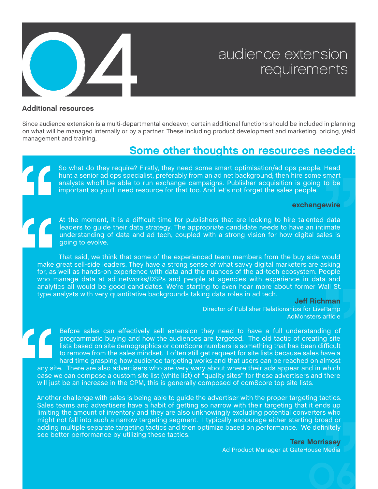

## Additional resources

Since audience extension is a multi-departmental endeavor, certain additional functions should be included in planning on what will be managed internally or by a partner. These including product development and marketing, pricing, yield management and training.

# Some other thoughts on resources needed:

So what do they require? Firstly, they need some smart optimisation/ad ops people. Head hunt a senior ad ops specialist, preferably from an ad net background; then hire some smart analysts who'll be able to run exchange campaigns. Publisher acquisition is going to be important so you'll need resource for that too. And let's not forget the sales people.

## [exchangewire](http://www.exchangewire.com/blog/2011/05/09/why-the-publisher-trading-desk-will-be-next-to-appear-on-the-media-buying-landscape/)

At the moment, it is a difficult time for publishers that are looking to hire talented data leaders to guide their data strategy. The appropriate candidate needs to have an intimate understanding of data and ad tech, coupled with a strong vision for how digital sales is going to evolve.

That said, we think that some of the experienced team members from the buy side would make great sell-side leaders. They have a strong sense of what savvy digital marketers are asking for, as well as hands-on experience with data and the nuances of the ad-tech ecosystem. People who manage data at ad networks/DSPs and people at agencies with experience in data and analytics all would be good candidates. We're starting to even hear more about former Wall St. type analysts with very quantitative backgrounds taking data roles in ad tech.

## Jeff Richman

Director of Publisher Relationships for LiveRamp [AdMonsters article](http://www.admonsters.com/blog/harnessing-data-2012-qa-jeff-richman-director-publisher-development-liveramp)

Before sales can effectively sell extension they need to have a full understanding of programmatic buying and how the audiences are targeted. The old tactic of creating site lists based on site demographics or comScore numbers is something that has been difficult to remove from the sales mindset. I often still get request for site lists because sales have a hard time grasping how audience targeting works and that users can be reached on almost any site. There are also advertisers who are very wary about where their ads appear and in which case we can compose a custom site list (white list) of "quality sites" for these advertisers and there will just be an increase in the CPM, this is generally composed of comScore top site lists.

Another challenge with sales is being able to guide the advertiser with the proper targeting tactics. Sales teams and advertisers have a habit of getting so narrow with their targeting that it ends up limiting the amount of inventory and they are also unknowingly excluding potential converters who might not fall into such a narrow targeting segment. I typically encourage either starting broad or adding multiple separate targeting tactics and then optimize based on performance. We definitely see better performance by utilizing these tactics.

Tara Morrissey

06

Ad Product Manager at GateHouse Media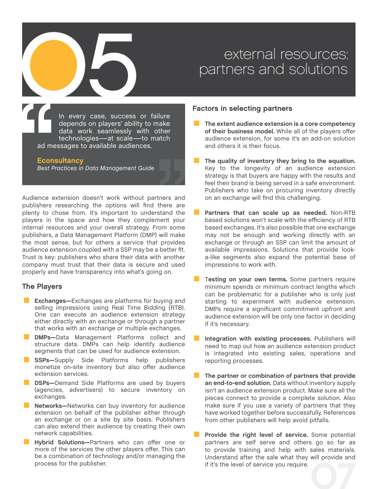# external resources:<br>
partners and solutions<br> **Eactors in selecting partners**

In every case, success or failure depends on players' ability to make data work seamlessly with other technologies—at scale—to match ad messages to available audiences.

## **Econsultancy**

*[Best Practices in Data Management Guide](http://econsultancy.com/reports/best-practices-in-data-management)*

Audience extension doesn't work without partners and publishers researching the options will find there are plenty to chose from. It's important to understand the players in the space and how they complement your internal resources and your overall strategy. From some publishers, a Data Management Platform (DMP) will make the most sense, but for others a service that provides audience extension coupled with a SSP may be a better fit. Trust is key: publishers who share their data with another company must trust that their data is secure and used properly and have transparency into what's going on.

## The Players

- **Exchanges—**Exchanges are platforms for buying and selling impressions using Real Time Bidding (RTB). One can execute an audience extension strategy either directly with an exchange or through a partner that works with an exchange or multiple exchanges. One can execute an audience extension strategy<br>
either directly with an exchange or through a partner<br>
that works with an exchange or multiple exchanges.<br> **DMPs**—Data Management Platforms collect and<br>
structure data. DMPs
- segments that can be used for audience extension. **EXPICE 2018**<br> **SIMPS**—Data Management Platforms collect and<br>
structure data. DMPs can help identify audience<br>
segments that can be used for audience extension.<br> **SSPs**—Supply Side Platforms help publishers<br>
monetize on-si
- extension services. **SSPs—**Supply Side Platforms help publishers<br>monetize on-site inventory but also offer audience<br>extension services.<br>**DSPs—**Demand Side Platforms are used by buyers<br>(agencies, advertisers) to secure inventory on
- (agencies, advertisers) to secure inventory on exchanges. **DSPs—**Demand Side Platforms are used by buyers (agencies, advertisers) to secure inventory on exchanges.<br> **Networks—**Networks can buy inventory for audience extension on behalf of the publisher either through
- extension on behalf of the publisher either through an exchange or on a site by site basis. Publishers can also extend their audience by creating their own network capabilities. an exchange or on a site by site basis. Publishers<br>
can also extend their audience by creating their own<br>
network capabilities.<br>
■ **Hybrid Solutions**—Partners who can offer one or<br>
more of the services the other players o
	- more of the services the other players offer. This can be a combination of technology and/or managing the process for the publisher.

# Factors in selecting partners

- .. **The extent audience extension is a core competency of their business model.** While all of the players offer audience extension, for some it's an add-on solution and others it is their focus.
- The quality of inventory they bring to the equation. Key to the longevity of an audience extension strategy is that buyers are happy with the results and feel their brand is being served in a safe environment. Publishers who take on procuring inventory directly on an exchange will find this challenging.
- Partners that can scale up as needed. Non-RTB based solutions won't scale with the efficiency of RTB based exchanges. It's also possible that one exchange may not be enough and working directly with an exchange or through an SSP can limit the amount of available impressions. Solutions that provide looka-like segments also expand the potential base of impressions to work with.
- Testing on your own terms. Some partners require minimum spends or minimum contract lengths which can be problematic for a publisher who is only just starting to experiment with audience extension. DMPs require a significant commitment upfront and audience extension will be only one factor in deciding if it's necessary. Laudience extension will be only one factor in deciding<br>
if it's necessary.<br> **Integration with existing processes.** Publishers will<br>
need to map out how an audience extension product
- is integrated into existing sales, operations and reporting processes.
- .. **The partner or combination of partners that provide an end-to-end solution.** Data without inventory supply isn't an audience extension product. Make sure all the pieces connect to provide a complete solution. Also make sure if you use a variety of partners that they have worked together before successfully. References<br>from other publishers will help avoid pitfalls.<br>**Provide the right level of service.** Some potential<br>partners are self serve and others go so far as from other publishers will help avoid pitfalls.
- 07 partners are self serve and others go so far as to provide training and help with sales materials. Understand after the sale what they will provide and if it's the level of service you require.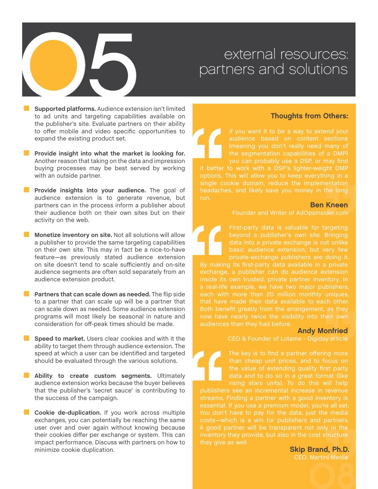# external resources:<br>
partners and solutions<br>
supported platforms. Audience extension isn't limited<br>
supported platforms. Audience extension isn't limited<br> **Figure 2014**

**E.** Supported platforms. Audience extension isn't limited to ad units and targeting capabilities available on the publisher's site. Evaluate partners on their ability to offer mobile and video specific opportunities to expand the existing product set.

- Provide insight into what the market is looking for. Another reason that taking on the data and impression buying processes may be best served by working with an outside partner.
- Provide insights into your audience. The goal of audience extension is to generate revenue, but partners can in the process inform a publisher about their audience both on their own sites but on their activity on the web.

.. **Monetize inventory on site.** Not all solutions will allow a publisher to provide the same targeting capabilities on their own site. This may in fact be a nice-to-have feature—as previously stated audience extension on site doesn't tend to scale sufficiently and on-site dence segments are often sold separately from an audience extension product.<br>■ **Partners that can scale down as needed.** The flip side to a partner that can scale up will be a partner that audience extension product.

to a partner that can scale up will be a partner that can scale down as needed. Some audience extension programs will most likely be seasonal in nature and consideration for off-peak times should be made. **Speed to market.** Users clear cookies and with it the ability to target them through audience extension. The

speed at which a user can be identified and targeted should be evaluated through the various solutions.

Ability to create custom segments. Ultimately audience extension works because the buyer believes that the publisher's 'secret sauce' is contributing to the success of the campaign.<br>■ Cookie de-duplication. If you work across multiple exchanges, you can potentially be reaching the same the success of the campaign.

exchanges, you can potentially be reaching the same user over and over again without knowing because their cookies differ per exchange or system. This can impact performance. Discuss with partners on how to minimize cookie duplication.

# Thoughts from Others:

audience based on content sections the segmentation capabilities of a DMP) you can probably use a DSP, or may find

it better to work with a DSP's lighter-weight DMP single cookie domain, reduce the implementation run.

## Ben Kneen

Founder and Writer of AdOpsInsider.com

First-party data is valuable for targeting beyond a publisher's own site. Bringing data into a private exchange is not unlike private-exchange publishers are doing it.

By making its first-party data available in a private exchange, a publisher can do audience extension inside its own trusted, private partner inventory. In that have made their data available to each other. now have nearly twice the visibility into their own audiences than they had before.

## Andy Monfried

CEO & Founder of Lotame - [Digiday article](http://www.digiday.com/publishers/whats-next-for-private-display-exchanges/)

than cheap unit prices, and to focus on

essential. If you use a premium model, you're all set. they give as well

> 08 Skip Brand, Ph.D. CEO, Martini Media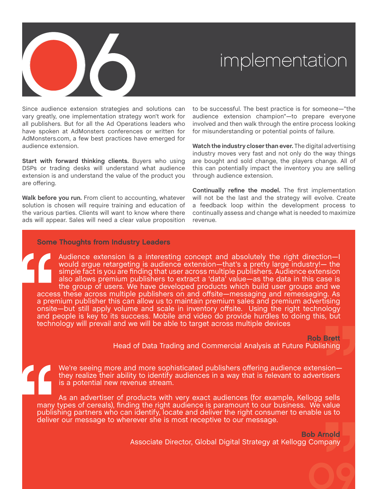

Since audience extension strategies and solutions can vary greatly, one implementation strategy won't work for all publishers. But for all the Ad Operations leaders who have spoken at AdMonsters conferences or written for AdMonsters.com, a few best practices have emerged for audience extension.

**Start with forward thinking clients.** Buyers who using DSPs or trading desks will understand what audience extension is and understand the value of the product you are offering.

**Walk before you run.** From client to accounting, whatever solution is chosen will require training and education of the various parties. Clients will want to know where there ads will appear. Sales will need a clear value proposition

to be successful. The best practice is for someone—"the audience extension champion"—to prepare everyone involved and then walk through the entire process looking for misunderstanding or potential points of failure.

**Watch the industry closer than ever.** The digital advertising industry moves very fast and not only do the way things are bought and sold change, the players change. All of this can potentially impact the inventory you are selling through audience extension.

**Continually refine the model.** The first implementation will not be the last and the strategy will evolve. Create a feedback loop within the development process to continually assess and change what is needed to maximize revenue.

## Some Thoughts from Industry Leaders

Audience extension is a interesting concept and absolutely the right direction—I would argue retargeting is audience extension—that's a pretty large industry!— the simple fact is you are finding that user across multiple publishers. Audience extension also allows premium publishers to extract a 'data' value—as the data in this case is the group of users. We have developed products which build user groups and we access these across multiple publishers on and offsite—messaging and remessaging. As a premium publisher this can allow us to maintain premium sales and premium advertising onsite—but still apply volume and scale in inventory offsite. Using the right technology and people is key to its success. Mobile and video do provide hurdles to doing this, but technology will prevail and we will be able to target across multiple devices

Rob Brett

09

Head of Data Trading and Commercial Analysis at Future Publishing

We're seeing more and more sophisticated publishers offering audience extension they realize their ability to identify audiences in a way that is relevant to advertisers is a potential new revenue stream.

As an advertiser of products with very exact audiences (for example, Kellogg sells many types of cereals), finding the right audience is paramount to our business. We value publishing partners who can identify, locate and deliver the right consumer to enable us to deliver our message to wherever she is most receptive to our message.

> Bob Arnold Associate Director, Global Digital Strategy at Kellogg Company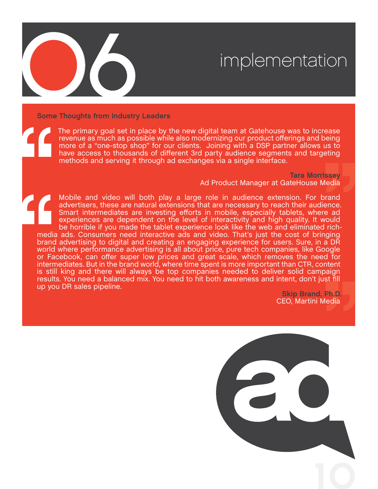

Some Thoughts from Industry Leaders

The primary goal set in place by the new digital team at Gatehouse was to increase revenue as much as possible while also modernizing our product offerings and being more of a "one-stop shop" for our clients. Joining with a DSP partner allows us to have access to thousands of different 3rd party audience segments and targeting methods and serving it through ad exchanges via a single interface.

> Tara Morrissey Ad Product Manager at GateHouse Media

Mobile and video will both play a large role in audience extension. For brand advertisers, these are natural extensions that are necessary to reach their audience. Smart intermediates are investing efforts in mobile, especially tablets, where ad experiences are dependent on the level of interactivity and high quality. It would be horrible if you made the tablet experience look like the web and eliminated richmedia ads. Consumers need interactive ads and video. That's just the cost of bringing brand advertising to digital and creating an engaging experience for users. Sure, in a DR world where performance advertising is all about price, pure tech companies, like Google or Facebook, can offer super low prices and great scale, which removes the need for intermediates. But in the brand world, where time spent is more important than CTR, content is still king and there will always be top companies needed to deliver solid campaign results. You need a balanced mix. You need to hit both awareness and intent, don't just fill up you DR sales pipeline.

> Skip Brand, Ph.D. CEO, Martini Media

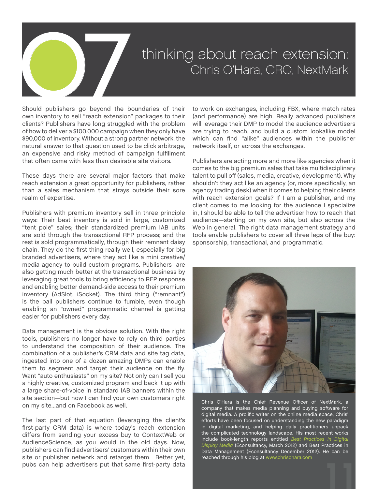

# thinking about reach extension:<br>Chris O'Hara, CRO, NextMark

Should publishers go beyond the boundaries of their own inventory to sell "reach extension" packages to their clients? Publishers have long struggled with the problem of how to deliver a \$100,000 campaign when they only have \$90,000 of inventory. Without a strong partner network, the natural answer to that question used to be click arbitrage, an expensive and risky method of campaign fulfillment that often came with less than desirable site visitors.

These days there are several major factors that make reach extension a great opportunity for publishers, rather than a sales mechanism that strays outside their sore realm of expertise.

Publishers with premium inventory sell in three principle ways: Their best inventory is sold in large, customized "tent pole" sales; their standardized premium IAB units are sold through the transactional RFP process; and the rest is sold programmatically, through their remnant daisy chain. They do the first thing really well, especially for big branded advertisers, where they act like a mini creative/ media agency to build custom programs. Publishers are also getting much better at the transactional business by leveraging great tools to bring efficiency to RFP response and enabling better demand-side access to their premium inventory (AdSlot, iSocket). The third thing ("remnant") is the ball publishers continue to fumble, even though enabling an "owned" programmatic channel is getting easier for publishers every day.

Data management is the obvious solution. With the right tools, publishers no longer have to rely on third parties to understand the composition of their audience. The combination of a publisher's CRM data and site tag data, ingested into one of a dozen amazing DMPs can enable them to segment and target their audience on the fly. Want "auto enthusiasts" on my site? Not only can I sell you a highly creative, customized program and back it up with a large share-of-voice in standard IAB banners within the site section—but now I can find your own customers right on my site…and on Facebook as well.

The last part of that equation (leveraging the client's first-party CRM data) is where today's reach extension differs from sending your excess buy to ContextWeb or AudienceScience, as you would in the old days. Now, publishers can find advertisers' customers within their own site or publisher network and retarget them. Better yet, pubs can help advertisers put that same first-party data

to work on exchanges, including FBX, where match rates (and performance) are high. Really advanced publishers will leverage their DMP to model the audience advertisers are trying to reach, and build a custom lookalike model which can find "alike" audiences within the publisher network itself, or across the exchanges.

Publishers are acting more and more like agencies when it comes to the big premium sales that take multidisciplinary talent to pull off (sales, media, creative, development). Why shouldn't they act like an agency (or, more specifically, an agency trading desk) when it comes to helping their clients with reach extension goals? If I am a publisher, and my client comes to me looking for the audience I specialize in, I should be able to tell the advertiser how to reach that audience—starting on my own site, but also across the Web in general. The right data management strategy and tools enable publishers to cover all three legs of the buy: sponsorship, transactional, and programmatic.



11 Chris O'Hara is the Chief Revenue Officer of NextMark, a company that makes media planning and buying software for digital media. A prolific writer on the online media space, Chris' efforts have been focused on understanding the new paradigm in digital marketing, and helping daily practitioners unpack the complicated technology landscape. His most recent works include book-length reports entitled *[Best Practices in Digital](http://econsultancy.com/us/reports/best-practices-in-data-management) [Display Media](http://econsultancy.com/us/reports/best-practices-in-data-management)* (Econsultancy, March 2012) and Best Practices in Data Management (Econsultancy December 2012). He can be reached through his blog at [www.chrisohara.com](http://www.chrisohara.com/)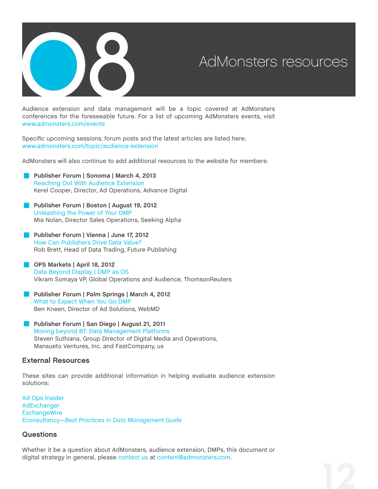

Audience extension and data management will be a topic covered at AdMonsters conferences for the foreseeable future. For a list of upcoming AdMonsters events, visit [www.admonsters.com/events](http://www.admonsters.com/events)

Specific upcoming sessions, forum posts and the latest articles are listed here: [www.admonsters.com/topic/audience-extension](http://www.admonsters.com/topic/audience-extension%20)

AdMonsters will also continue to add additional resources to the website for members:

- AdMonsters will also continue to add additional<br> **[Publisher Forum | Sonoma | March 4, 2013](http://www.admonsters.com/event/cn-us-29)**<br>
Reaching Out With Audience Extension [Reaching Out With Audience Extension](http://www.admonsters.com/session/making-use-audience-extension/148410) Kerel Cooper, Director, Ad Operations, Advance Digital **[Publisher Forum | Boston | August 19, 2012](http://www.admonsters.com/event/cn-us-27)**<br>**Publisher Forum | Boston | August 19, 2012**<br>Unleashing the Power of Your DMP
- [Unleashing the Power of Your DMP](http://www.admonsters.com/session/unleashing-power-your-dmp/122216) Mia Nolan, Director Sales Operations, Seeking Alpha Unleashing the Power of Your DMP<br>Mia Nolan, Director Sales Operations, See<br>**■ [Publisher Forum | Vienna | June 17, 2012](http://www.admonsters.com/event/cn-eu-18)**<br>How Can Publishers Drive Data Value?
	- [How Can Publishers Drive Data Value?](http://www.admonsters.com/session/member-session-how-can-publishers-drive-data-value/122028) Rob Brett, Head of Data Trading, Future Publishing
- **[OPS Markets | April 18, 2012](http://www.admonsters.com/event/mk-us-2)** [Data Beyond Display | DMP as OS](http://www.admonsters.com/node/104837) Vikram Somaya VP, Global Operations and Audience, ThomsonReuters
- **[Publisher Forum | Palm Springs | March 4, 2012](http://www.admonsters.com/event/cn-us-26)** [What to Expect When You Go DMP](http://www.admonsters.com/node/105812) Ben Kneen, Director of Ad Solutions, WebMD What to Expect When You Go DMP<br>Ben Kneen, Director of Ad Solutions, WebMD<br>**[Publisher Forum | San Diego | August 21, 2011](http://www.admonsters.com/event/cn-us-25%20)**<br>Moving beyond BT: Data Management Platform
- [Moving beyond BT: Data Management Platforms](http://www.admonsters.com/node/81596) Steven Suthiana, Group Director of Digital Media and Operations, Mansueto Ventures, Inc. and FastCompany, us

## External Resources

These sites can provide additional information in helping evaluate audience extension solutions:

[Ad Ops Insider](http://adopsinsider.com/) [AdExchanger](http://www.adexchanger.com/) **[ExchangeWire](http://exchangewire.com/)** [Econsultancy—](http://econsultancy.com/)*[Best Practices in Data Management Guide](http://econsultancy.com/reports/best-practices-in-data-management)*

## **Questions**

Whether it be a question about AdMonsters, audience extension, DMPs, this document or digital strategy in general, please [contact us](http://www.admonsters.com/contact) at [content@admonsters.com](mailto:content%40admonsters.com?subject=).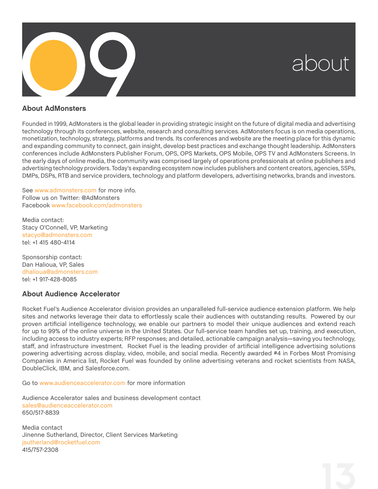

## About AdMonsters

Founded in 1999, AdMonsters is the global leader in providing strategic insight on the future of digital media and advertising technology through its conferences, website, research and consulting services. AdMonsters focus is on media operations, monetization, technology, strategy, platforms and trends. Its conferences and website are the meeting place for this dynamic and expanding community to connect, gain insight, develop best practices and exchange thought leadership. AdMonsters conferences include AdMonsters Publisher Forum, OPS, OPS Markets, OPS Mobile, OPS TV and AdMonsters Screens. In the early days of online media, the community was comprised largely of operations professionals at online publishers and advertising technology providers. Today's expanding ecosystem now includes publishers and content creators, agencies, SSPs, DMPs, DSPs, RTB and service providers, technology and platform developers, advertising networks, brands and investors.

See [www.admonsters.com](http://www.admonsters.com) for more info. Follow us on Twitter: @AdMonsters Facebook [www.facebook.com/admonsters](http://www.facebook.com/admonsters)

Media contact: Stacy O'Connell, VP, Marketing [stacyo@admonsters.com](mailto:stacyo%40admonsters.com?subject=) tel: +1 415 480-4114

Sponsorship contact: Dan Halioua, VP, Sales [dhalioua@admonsters.com](mailto:dhalioua%40admonsters.com?subject=) tel: +1 917-428-8085

# About Audience Accelerator

Rocket Fuel's Audience Accelerator division provides an unparalleled full-service audience extension platform. We help sites and networks leverage their data to effortlessly scale their audiences with outstanding results. Powered by our proven artificial intelligence technology, we enable our partners to model their unique audiences and extend reach for up to 99% of the online universe in the United States. Our full-service team handles set up, training, and execution, including access to industry experts; RFP responses; and detailed, actionable campaign analysis—saving you technology, staff, and infrastructure investment. Rocket Fuel is the leading provider of artificial intelligence advertising solutions powering advertising across display, video, mobile, and social media. Recently awarded #4 in Forbes Most Promising Companies in America list, Rocket Fuel was founded by online advertising veterans and rocket scientists from NASA, DoubleClick, IBM, and Salesforce.com.

Go to [www.audienceaccelerator.com](http://www.audienceaccelerator.com) for more information

Audience Accelerator sales and business development contact [sales@audienceaccelerator.com](mailto:sales%40audienceaccelerator.com?subject=) 650/517-8839

Media contact Jinenne Sutherland, Director, Client Services Marketing [jsutherland@rocketfuel.com](mailto:sales%40audienceaccelerator.com?subject=) 415/757-2308